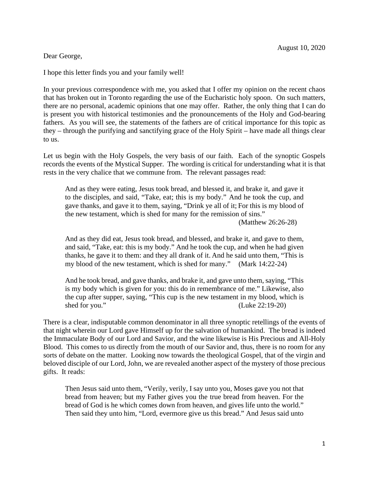## Dear George,

I hope this letter finds you and your family well!

In your previous correspondence with me, you asked that I offer my opinion on the recent chaos that has broken out in Toronto regarding the use of the Eucharistic holy spoon. On such matters, there are no personal, academic opinions that one may offer. Rather, the only thing that I can do is present you with historical testimonies and the pronouncements of the Holy and God-bearing fathers. As you will see, the statements of the fathers are of critical importance for this topic as they – through the purifying and sanctifying grace of the Holy Spirit – have made all things clear to us.

Let us begin with the Holy Gospels, the very basis of our faith. Each of the synoptic Gospels records the events of the Mystical Supper. The wording is critical for understanding what it is that rests in the very chalice that we commune from. The relevant passages read:

And as they were eating, Jesus took bread, and blessed it, and brake it, and gave it to the disciples, and said, "Take, eat; this is my body." And he took the cup, and gave thanks, and gave it to them, saying, "Drink ye all of it; For this is my blood of the new testament, which is shed for many for the remission of sins."

(Matthew 26:26-28)

And as they did eat, Jesus took bread, and blessed, and brake it, and gave to them, and said, "Take, eat: this is my body." And he took the cup, and when he had given thanks, he gave it to them: and they all drank of it. And he said unto them, "This is my blood of the new testament, which is shed for many." (Mark 14:22-24)

And he took bread, and gave thanks, and brake it, and gave unto them, saying, "This is my body which is given for you: this do in remembrance of me." Likewise, also the cup after supper, saying, "This cup is the new testament in my blood, which is shed for you." (Luke 22:19-20)

There is a clear, indisputable common denominator in all three synoptic retellings of the events of that night wherein our Lord gave Himself up for the salvation of humankind. The bread is indeed the Immaculate Body of our Lord and Savior, and the wine likewise is His Precious and All-Holy Blood. This comes to us directly from the mouth of our Savior and, thus, there is no room for any sorts of debate on the matter. Looking now towards the theological Gospel, that of the virgin and beloved disciple of our Lord, John, we are revealed another aspect of the mystery of those precious gifts. It reads:

Then Jesus said unto them, "Verily, verily, I say unto you, Moses gave you not that bread from heaven; but my Father gives you the true bread from heaven. For the bread of God is he which comes down from heaven, and gives life unto the world." Then said they unto him, "Lord, evermore give us this bread." And Jesus said unto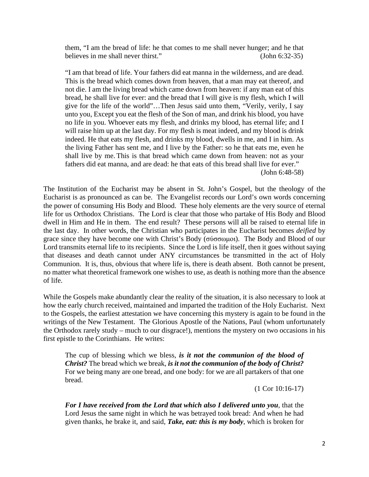them, "I am the bread of life: he that comes to me shall never hunger; and he that believes in me shall never thirst." (John 6:32-35)

"I am that bread of life. Your fathers did eat manna in the wilderness, and are dead. This is the bread which comes down from heaven, that a man may eat thereof, and not die. I am the living bread which came down from heaven: if any man eat of this bread, he shall live for ever: and the bread that I will give is my flesh, which I will give for the life of the world"…Then Jesus said unto them, "Verily, verily, I say unto you, Except you eat the flesh of the Son of man, and drink his blood, you have no life in you. Whoever eats my flesh, and drinks my blood, has eternal life; and I will raise him up at the last day. For my flesh is meat indeed, and my blood is drink indeed. He that eats my flesh, and drinks my blood, dwells in me, and I in him. As the living Father has sent me, and I live by the Father: so he that eats me, even he shall live by me. This is that bread which came down from heaven: not as your fathers did eat manna, and are dead: he that eats of this bread shall live for ever." (John 6:48-58)

The Institution of the Eucharist may be absent in St. John's Gospel, but the theology of the Eucharist is as pronounced as can be. The Evangelist records our Lord's own words concerning the power of consuming His Body and Blood. These holy elements are the very source of eternal life for us Orthodox Christians. The Lord is clear that those who partake of His Body and Blood dwell in Him and He in them. The end result? These persons will all be raised to eternal life in the last day. In other words, the Christian who participates in the Eucharist becomes *deified* by grace since they have become one with Christ's Body (σύσσωμοι). The Body and Blood of our Lord transmits eternal life to its recipients. Since the Lord is life itself, then it goes without saying that diseases and death cannot under ANY circumstances be transmitted in the act of Holy Communion. It is, thus, obvious that where life is, there is death absent. Both cannot be present, no matter what theoretical framework one wishes to use, as death is nothing more than the absence of life.

While the Gospels make abundantly clear the reality of the situation, it is also necessary to look at how the early church received, maintained and imparted the tradition of the Holy Eucharist. Next to the Gospels, the earliest attestation we have concerning this mystery is again to be found in the writings of the New Testament. The Glorious Apostle of the Nations, Paul (whom unfortunately the Orthodox rarely study – much to our disgrace!), mentions the mystery on two occasions in his first epistle to the Corinthians. He writes:

The cup of blessing which we bless, *is it not the communion of the blood of Christ?* The bread which we break, *is it not the communion of the body of Christ?* For we being many are one bread, and one body: for we are all partakers of that one bread.

(1 Cor 10:16-17)

*For I have received from the Lord that which also I delivered unto you*, that the Lord Jesus the same night in which he was betrayed took bread: And when he had given thanks, he brake it, and said, *Take, eat: this is my body*, which is broken for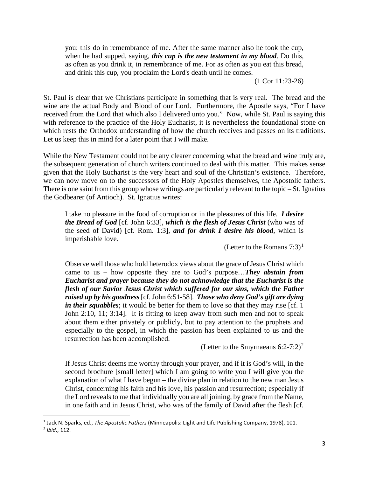you: this do in remembrance of me. After the same manner also he took the cup, when he had supped, saying, *this cup is the new testament in my blood*. Do this, as often as you drink it, in remembrance of me. For as often as you eat this bread, and drink this cup, you proclaim the Lord's death until he comes.

(1 Cor 11:23-26)

St. Paul is clear that we Christians participate in something that is very real. The bread and the wine are the actual Body and Blood of our Lord. Furthermore, the Apostle says, "For I have received from the Lord that which also I delivered unto you." Now, while St. Paul is saying this with reference to the practice of the Holy Eucharist, it is nevertheless the foundational stone on which rests the Orthodox understanding of how the church receives and passes on its traditions. Let us keep this in mind for a later point that I will make.

While the New Testament could not be any clearer concerning what the bread and wine truly are, the subsequent generation of church writers continued to deal with this matter. This makes sense given that the Holy Eucharist is the very heart and soul of the Christian's existence. Therefore, we can now move on to the successors of the Holy Apostles themselves, the Apostolic fathers. There is one saint from this group whose writings are particularly relevant to the topic – St. Ignatius the Godbearer (of Antioch). St. Ignatius writes:

I take no pleasure in the food of corruption or in the pleasures of this life. *I desire the Bread of God* [cf. John 6:33], *which is the flesh of Jesus Christ* (who was of the seed of David) [cf. Rom. 1:3], *and for drink I desire his blood*, which is imperishable love.

(Letter to the Romans  $7:3$ )<sup>[1](#page-2-0)</sup>

Observe well those who hold heterodox views about the grace of Jesus Christ which came to us – how opposite they are to God's purpose…*They abstain from Eucharist and prayer because they do not acknowledge that the Eucharist is the flesh of our Savior Jesus Christ which suffered for our sins, which the Father raised up by his goodness* [cf. John 6:51-58]. *Those who deny God's gift are dying in their squabbles*; it would be better for them to love so that they may rise [cf. 1] John 2:10, 11; 3:14]. It is fitting to keep away from such men and not to speak about them either privately or publicly, but to pay attention to the prophets and especially to the gospel, in which the passion has been explained to us and the resurrection has been accomplished.

(Letter to the Smyrnaeans  $6:2-7:2)^2$  $6:2-7:2)^2$  $6:2-7:2)^2$ 

If Jesus Christ deems me worthy through your prayer, and if it is God's will, in the second brochure [small letter] which I am going to write you I will give you the explanation of what I have begun – the divine plan in relation to the new man Jesus Christ, concerning his faith and his love, his passion and resurrection; especially if the Lord reveals to me that individually you are all joining, by grace from the Name, in one faith and in Jesus Christ, who was of the family of David after the flesh [cf.

<span id="page-2-1"></span><span id="page-2-0"></span><sup>1</sup> Jack N. Sparks, ed., *The Apostolic Fathers* (Minneapolis: Light and Life Publishing Company, 1978), 101. <sup>2</sup> *Ibid*., 112.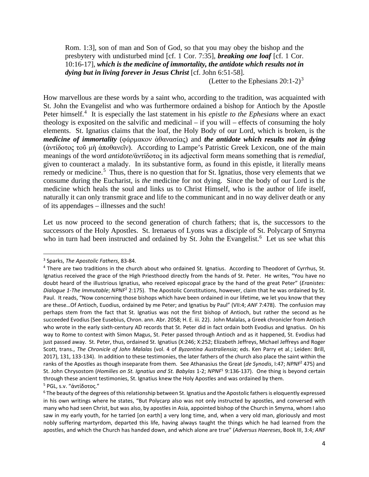Rom. 1:3], son of man and Son of God, so that you may obey the bishop and the presbytery with undisturbed mind [cf. 1 Cor. 7:35], *breaking one loaf* [cf. 1 Cor. 10:16-17], *which is the medicine of immortality, the antidote which results not in dying but in living forever in Jesus Christ* [cf. John 6:51-58].

(Letter to the Ephesians  $20:1-2$ )<sup>[3](#page-3-0)</sup>

How marvellous are these words by a saint who, according to the tradition, was acquainted with St. John the Evangelist and who was furthermore ordained a bishop for Antioch by the Apostle Peter himself.<sup>[4](#page-3-1)</sup> It is especially the last statement in his *epistle to the Ephesians* where an exact theology is exposited on the salvific and medicinal – if you will – effects of consuming the holy elements. St. Ignatius claims that the loaf, the Holy Body of our Lord, which is broken, is the *medicine of immortality* (φάρμακον ἀθανασίας) and *the antidote which results not in dying* (ἀντίδοτος τοῦ μὴ ἀποθανεῖν). According to Lampe's Patristic Greek Lexicon, one of the main meanings of the word *antidote/*ἀντίδοτος in its adjectival form means something that is *remedial*, given to counteract a malady. In its substantive form, as found in this epistle, it literally means remedy or medicine.<sup>[5](#page-3-2)</sup> Thus, there is no question that for St. Ignatius, those very elements that we consume during the Eucharist, is *the* medicine for not dying. Since the body of our Lord is the medicine which heals the soul and links us to Christ Himself, who is the author of life itself, naturally it can only transmit grace and life to the communicant and in no way deliver death or any of its appendages – illnesses and the such!

Let us now proceed to the second generation of church fathers; that is, the successors to the successors of the Holy Apostles. St. Irenaeus of Lyons was a disciple of St. Polycarp of Smyrna who in turn had been instructed and ordained by St. John the Evangelist.<sup>[6](#page-3-3)</sup> Let us see what this

<span id="page-3-1"></span><span id="page-3-0"></span><sup>&</sup>lt;sup>3</sup> Sparks, *The Apostolic Fathers*, 83-84.<br><sup>4</sup> There are two traditions in the church about who ordained St. Ignatius. According to Theodoret of Cyrrhus, St. Ignatius received the grace of the High Priesthood directly from the hands of St. Peter. He writes, "You have no doubt heard of the illustrious Ignatius, who received episcopal grace by the hand of the great Peter" (*Eranistes: Dialogue 1-The Immutable*; *NPNF*<sup>2</sup> 2:175). The Apostolic Constitutions, however, claim that he was ordained by St. Paul. It reads, "Now concerning those bishops which have been ordained in our lifetime, we let you know that they are these…Of Antioch, Euodius, ordained by me Peter; and Ignatius by Paul" (VII:4; *ANF* 7:478). The confusion may perhaps stem from the fact that St. Ignatius was not the first bishop of Antioch, but rather the second as he succeeded Evodius (See Eusebius, Chron. ann. Abr. 2058; H. E. iii. 22). John Malalas, a Greek chronicler from Antioch who wrote in the early sixth-century AD records that St. Peter did in fact ordain both Evodius and Ignatius. On his way to Rome to contest with Simon Magus, St. Peter passed through Antioch and as it happened, St. Evodius had just passed away. St. Peter, thus, ordained St. Ignatius (X:246; X:252; Elizabeth Jeffreys, Michael Jeffreys and Roger Scott, trans., *The Chronicle of John Malalas* (vol. 4 of *Byzantina Australiensia*; eds. Ken Parry et al.; Leiden: Brill, 2017), 131, 133-134). In addition to these testimonies, the later fathers of the church also place the saint within the ranks of the Apostles as though inseparate from them. See Athanasius the Great (*de Synodis*, I:47; *NPNF*<sup>2</sup> 475) and St. John Chrysostom (*Homilies on St. Ignatius and St. Babylas* 1-2; *NPNF*<sup>1</sup> 9:136-137). One thing is beyond certain through these ancient testimonies, St. Ignatius knew the Holy Apostles and was ordained by them.

<span id="page-3-3"></span><span id="page-3-2"></span><sup>&</sup>lt;sup>5</sup> PGL, s.ν. "ἀντίδοτος."<br><sup>6</sup> The beauty of the degrees of this relationship between St. Ignatius and the Apostolic fathers is eloquently expressed in his own writings where he states, "But Polycarp also was not only instructed by apostles, and conversed with many who had seen Christ, but was also, by apostles in Asia, appointed bishop of the Church in Smyrna, whom I also saw in my early youth, for he tarried [on earth] a very long time, and, when a very old man, gloriously and most nobly suffering martyrdom, departed this life, having always taught the things which he had learned from the apostles, and which the Church has handed down, and which alone are true" (*Adversus Haereses*, Book III, 3:4; *ANF*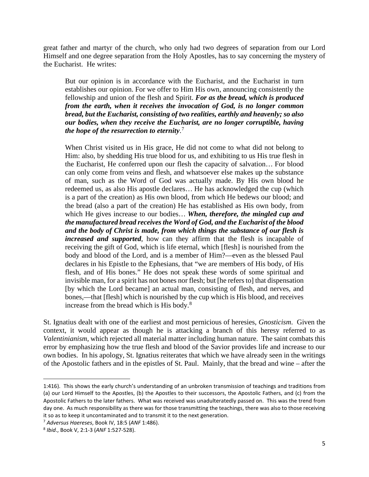great father and martyr of the church, who only had two degrees of separation from our Lord Himself and one degree separation from the Holy Apostles, has to say concerning the mystery of the Eucharist. He writes:

But our opinion is in accordance with the Eucharist, and the Eucharist in turn establishes our opinion. For we offer to Him His own, announcing consistently the fellowship and union of the flesh and Spirit. *For as the bread, which is produced from the earth, when it receives the invocation of God, is no longer common bread, but the Eucharist, consisting of two realities, earthly and heavenly; so also our bodies, when they receive the Eucharist, are no longer corruptible, having the hope of the resurrection to eternity*. [7](#page-4-0)

When Christ visited us in His grace, He did not come to what did not belong to Him: also, by shedding His true blood for us, and exhibiting to us His true flesh in the Eucharist, He conferred upon our flesh the capacity of salvation… For blood can only come from veins and flesh, and whatsoever else makes up the substance of man, such as the Word of God was actually made. By His own blood he redeemed us, as also His apostle declares… He has acknowledged the cup (which is a part of the creation) as His own blood, from which He bedews our blood; and the bread (also a part of the creation) He has established as His own body, from which He gives increase to our bodies… *When, therefore, the mingled cup and the manufactured bread receives the Word of God, and the Eucharist of the blood and the body of Christ is made, from which things the substance of our flesh is increased and supported*, how can they affirm that the flesh is incapable of receiving the gift of God, which is life eternal, which [flesh] is nourished from the body and blood of the Lord, and is a member of Him?—even as the blessed Paul declares in his Epistle to the Ephesians, that "we are members of His body, of His flesh, and of His bones." He does not speak these words of some spiritual and invisible man, for a spirit has not bones nor flesh; but [he refers to] that dispensation [by which the Lord became] an actual man, consisting of flesh, and nerves, and bones,—that [flesh] which is nourished by the cup which is His blood, and receives increase from the bread which is His body.<sup>[8](#page-4-1)</sup>

St. Ignatius dealt with one of the earliest and most pernicious of heresies, *Gnosticism*. Given the context, it would appear as though he is attacking a branch of this heresy referred to as *Valentinianism*, which rejected all material matter including human nature. The saint combats this error by emphasizing how the true flesh and blood of the Savior provides life and increase to our own bodies. In his apology, St. Ignatius reiterates that which we have already seen in the writings of the Apostolic fathers and in the epistles of St. Paul. Mainly, that the bread and wine – after the

<sup>1:416).</sup> This shows the early church's understanding of an unbroken transmission of teachings and traditions from (a) our Lord Himself to the Apostles, (b) the Apostles to their successors, the Apostolic Fathers, and (c) from the Apostolic Fathers to the later fathers. What was received was unadulteratedly passed on. This was the trend from day one. As much responsibility as there was for those transmitting the teachings, there was also to those receiving it so as to keep it uncontaminated and to transmit it to the next generation.

<span id="page-4-0"></span><sup>7</sup> *Adversus Haereses*, Book IV, 18:5 (*ANF* 1:486).

<span id="page-4-1"></span><sup>8</sup> *Ibid*., Book V, 2:1-3 (*ANF* 1:527-528).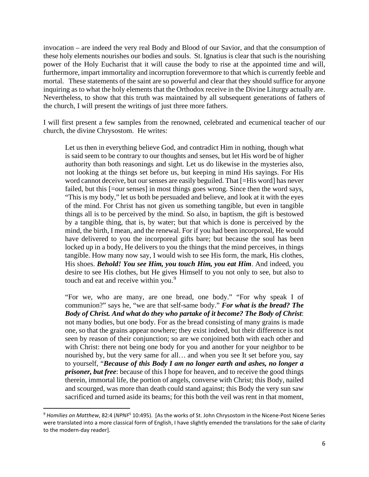invocation – are indeed the very real Body and Blood of our Savior, and that the consumption of these holy elements nourishes our bodies and souls. St. Ignatius is clear that such is the nourishing power of the Holy Eucharist that it will cause the body to rise at the appointed time and will, furthermore, impart immortality and incorruption forevermore to that which is currently feeble and mortal. These statements of the saint are so powerful and clear that they should suffice for anyone inquiring as to what the holy elements that the Orthodox receive in the Divine Liturgy actually are. Nevertheless, to show that this truth was maintained by all subsequent generations of fathers of the church, I will present the writings of just three more fathers.

I will first present a few samples from the renowned, celebrated and ecumenical teacher of our church, the divine Chrysostom. He writes:

Let us then in everything believe God, and contradict Him in nothing, though what is said seem to be contrary to our thoughts and senses, but let His word be of higher authority than both reasonings and sight. Let us do likewise in the mysteries also, not looking at the things set before us, but keeping in mind His sayings. For His word cannot deceive, but our senses are easily beguiled. That [=His word] has never failed, but this [=our senses] in most things goes wrong. Since then the word says, "This is my body," let us both be persuaded and believe, and look at it with the eyes of the mind. For Christ has not given us something tangible, but even in tangible things all is to be perceived by the mind. So also, in baptism, the gift is bestowed by a tangible thing, that is, by water; but that which is done is perceived by the mind, the birth, I mean, and the renewal. For if you had been incorporeal, He would have delivered to you the incorporeal gifts bare; but because the soul has been locked up in a body, He delivers to you the things that the mind perceives, in things tangible. How many now say, I would wish to see His form, the mark, His clothes, His shoes. *Behold! You see Him, you touch Him, you eat Him*. And indeed, you desire to see His clothes, but He gives Himself to you not only to see, but also to touch and eat and receive within you.<sup>[9](#page-5-0)</sup>

"For we, who are many, are one bread, one body." "For why speak I of communion?" says he, "we are that self-same body." *For what is the bread? The Body of Christ. And what do they who partake of it become? The Body of Christ*: not many bodies, but one body. For as the bread consisting of many grains is made one, so that the grains appear nowhere; they exist indeed, but their difference is not seen by reason of their conjunction; so are we conjoined both with each other and with Christ: there not being one body for you and another for your neighbor to be nourished by, but the very same for all… and when you see It set before you, say to yourself, "*Because of this Body I am no longer earth and ashes, no longer a prisoner, but free*: because of this I hope for heaven, and to receive the good things therein, immortal life, the portion of angels, converse with Christ; this Body, nailed and scourged, was more than death could stand against; this Body the very sun saw sacrificed and turned aside its beams; for this both the veil was rent in that moment,

<span id="page-5-0"></span><sup>&</sup>lt;sup>9</sup> Homilies on Matthew, 82:4 (NPNF<sup>1</sup> 10:495). [As the works of St. John Chrysostom in the Nicene-Post Nicene Series were translated into a more classical form of English, I have slightly emended the translations for the sake of clarity to the modern-day reader].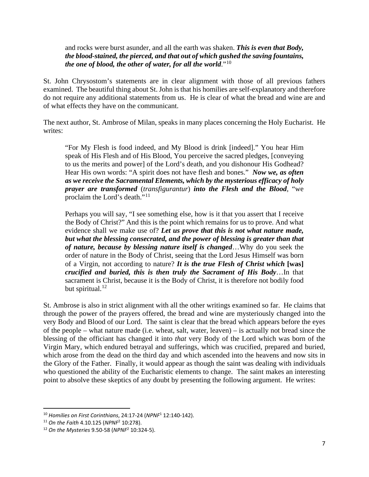and rocks were burst asunder, and all the earth was shaken. *This is even that Body, the blood-stained, the pierced, and that out of which gushed the saving fountains, the one of blood, the other of water, for all the world*."[10](#page-6-0)

St. John Chrysostom's statements are in clear alignment with those of all previous fathers examined. The beautiful thing about St. John is that his homilies are self-explanatory and therefore do not require any additional statements from us. He is clear of what the bread and wine are and of what effects they have on the communicant.

The next author, St. Ambrose of Milan, speaks in many places concerning the Holy Eucharist. He writes:

"For My Flesh is food indeed, and My Blood is drink [indeed]." You hear Him speak of His Flesh and of His Blood, You perceive the sacred pledges, [conveying to us the merits and power] of the Lord's death, and you dishonour His Godhead? Hear His own words: "A spirit does not have flesh and bones." *Now we, as often as we receive the Sacramental Elements, which by the mysterious efficacy of holy prayer are transformed* (*transfigurantur*) *into the Flesh and the Blood*, "we proclaim the Lord's death."<sup>[11](#page-6-1)</sup>

Perhaps you will say, "I see something else, how is it that you assert that I receive the Body of Christ?" And this is the point which remains for us to prove. And what evidence shall we make use of? *Let us prove that this is not what nature made, but what the blessing consecrated, and the power of blessing is greater than that of nature, because by blessing nature itself is changed*…Why do you seek the order of nature in the Body of Christ, seeing that the Lord Jesus Himself was born of a Virgin, not according to nature? *It is the true Flesh of Christ which* **[was]** *crucified and buried, this is then truly the Sacrament of His Body*…In that sacrament is Christ, because it is the Body of Christ, it is therefore not bodily food but spiritual. $12$ 

St. Ambrose is also in strict alignment with all the other writings examined so far. He claims that through the power of the prayers offered, the bread and wine are mysteriously changed into the very Body and Blood of our Lord. The saint is clear that the bread which appears before the eyes of the people – what nature made (i.e. wheat, salt, water, leaven) – is actually not bread since the blessing of the officiant has changed it into *that* very Body of the Lord which was born of the Virgin Mary, which endured betrayal and sufferings, which was crucified, prepared and buried, which arose from the dead on the third day and which ascended into the heavens and now sits in the Glory of the Father. Finally, it would appear as though the saint was dealing with individuals who questioned the ability of the Eucharistic elements to change. The saint makes an interesting point to absolve these skeptics of any doubt by presenting the following argument. He writes:

<span id="page-6-1"></span><span id="page-6-0"></span><sup>10</sup> *Homilies on First Corinthians*, 24:17-24 (*NPNF*<sup>1</sup> 12:140-142). 11 *On the Faith* 4.10.125 (*NPNF*<sup>2</sup> 10:278).

<span id="page-6-2"></span><sup>12</sup> *On the Mysteries* 9.50-58 (*NPNF*<sup>2</sup> 10:324-5).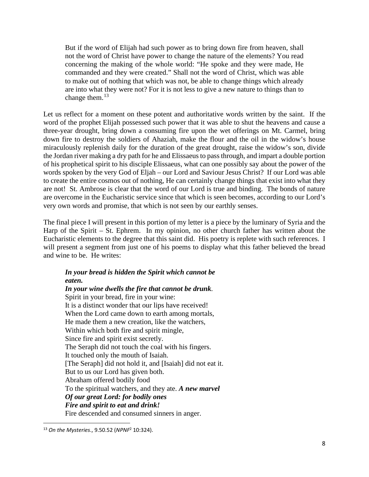But if the word of Elijah had such power as to bring down fire from heaven, shall not the word of Christ have power to change the nature of the elements? You read concerning the making of the whole world: "He spoke and they were made, He commanded and they were created." Shall not the word of Christ, which was able to make out of nothing that which was not, be able to change things which already are into what they were not? For it is not less to give a new nature to things than to change them. $13$ 

Let us reflect for a moment on these potent and authoritative words written by the saint. If the word of the prophet Elijah possessed such power that it was able to shut the heavens and cause a three-year drought, bring down a consuming fire upon the wet offerings on Mt. Carmel, bring down fire to destroy the soldiers of Ahaziah, make the flour and the oil in the widow's house miraculously replenish daily for the duration of the great drought, raise the widow's son, divide the Jordan river making a dry path for he and Elissaeus to pass through, and impart a double portion of his prophetical spirit to his disciple Elissaeus, what can one possibly say about the power of the words spoken by the very God of Eljah – our Lord and Saviour Jesus Christ? If our Lord was able to create the entire cosmos out of nothing, He can certainly change things that exist into what they are not! St. Ambrose is clear that the word of our Lord is true and binding. The bonds of nature are overcome in the Eucharistic service since that which is seen becomes, according to our Lord's very own words and promise, that which is not seen by our earthly senses.

The final piece I will present in this portion of my letter is a piece by the luminary of Syria and the Harp of the Spirit – St. Ephrem. In my opinion, no other church father has written about the Eucharistic elements to the degree that this saint did. His poetry is replete with such references. I will present a segment from just one of his poems to display what this father believed the bread and wine to be. He writes:

## *In your bread is hidden the Spirit which cannot be eaten.*

*In your wine dwells the fire that cannot be drunk*. Spirit in your bread, fire in your wine: It is a distinct wonder that our lips have received! When the Lord came down to earth among mortals, He made them a new creation, like the watchers, Within which both fire and spirit mingle, Since fire and spirit exist secretly. The Seraph did not touch the coal with his fingers. It touched only the mouth of Isaiah. [The Seraph] did not hold it, and [Isaiah] did not eat it. But to us our Lord has given both. Abraham offered bodily food To the spiritual watchers, and they ate. *A new marvel Of our great Lord: for bodily ones Fire and spirit to eat and drink!* Fire descended and consumed sinners in anger.

<span id="page-7-0"></span><sup>13</sup> *On the Mysteries*., 9.50.52 (*NPNF*<sup>2</sup> 10:324).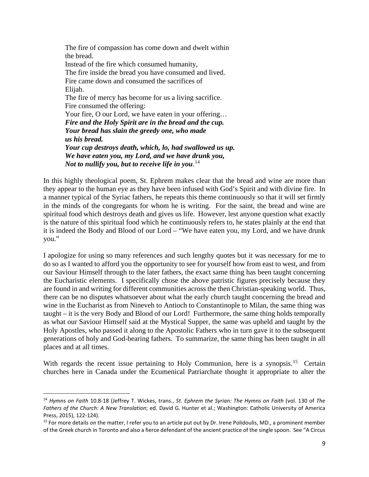The fire of compassion has come down and dwelt within the bread. Instead of the fire which consumed humanity, The fire inside the bread you have consumed and lived. Fire came down and consumed the sacrifices of Elijah. The fire of mercy has become for us a living sacrifice. Fire consumed the offering: Your fire, O our Lord, we have eaten in your offering... *Fire and the Holy Spirit are in the bread and the cup. Your bread has slain the greedy one, who made us his bread. Your cup destroys death, which, lo, had swallowed us up. We have eaten you, my Lord, and we have drunk you, Not to nullify you, but to receive life in you*. [14](#page-8-0)

In this highly theological poem, St. Ephrem makes clear that the bread and wine are more than they appear to the human eye as they have been infused with God's Spirit and with divine fire. In a manner typical of the Syriac fathers, he repeats this theme continuously so that it will set firmly in the minds of the congregants for whom he is writing. For the saint, the bread and wine are spiritual food which destroys death and gives us life. However, lest anyone question what exactly is the nature of this spiritual food which he continuously refers to, he states plainly at the end that it is indeed the Body and Blood of our Lord – "We have eaten you, my Lord, and we have drunk you."

I apologize for using so many references and such lengthy quotes but it was necessary for me to do so as I wanted to afford you the opportunity to see for yourself how from east to west, and from our Saviour Himself through to the later fathers, the exact same thing has been taught concerning the Eucharistic elements. I specifically chose the above patristic figures precisely because they are found in and writing for different communities across the then Christian-speaking world. Thus, there can be no disputes whatsoever about what the early church taught concerning the bread and wine in the Eucharist as from Nineveh to Antioch to Constantinople to Milan, the same thing was taught – it is the very Body and Blood of our Lord! Furthermore, the same thing holds temporally as what our Saviour Himself said at the Mystical Supper, the same was upheld and taught by the Holy Apostles, who passed it along to the Apostolic Fathers who in turn gave it to the subsequent generations of holy and God-bearing fathers. To summarize, the same thing has been taught in all places and at all times.

With regards the recent issue pertaining to Holy Communion, here is a synopsis.<sup>[15](#page-8-1)</sup> Certain churches here in Canada under the Ecumenical Patriarchate thought it appropriate to alter the

<span id="page-8-0"></span><sup>14</sup> *Hymns on Faith* 10.8-18 (Jeffrey T. Wickes, trans., *St. Ephrem the Syrian: The Hymns on Faith* (vol. 130 of *The Fathers of the Church: A New Translation*; ed. David G. Hunter et al.; Washington: Catholic University of America Press, 2015), 122-124).<br><sup>15</sup> For more details on the matter, I refer you to an article put out by Dr. Irene Polidoulis, MD., a prominent member

<span id="page-8-1"></span>of the Greek church in Toronto and also a fierce defendant of the ancient practice of the single spoon. See "A Circus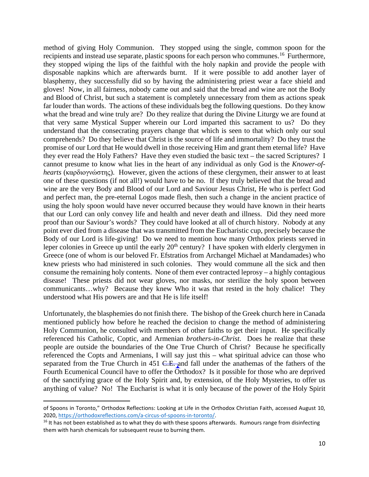method of giving Holy Communion. They stopped using the single, common spoon for the recipients and instead use separate, plastic spoons for each person who communes.<sup>[16](#page-9-0)</sup> Furthermore, they stopped wiping the lips of the faithful with the holy napkin and provide the people with disposable napkins which are afterwards burnt. If it were possible to add another layer of blasphemy, they successfully did so by having the administering priest wear a face shield and gloves! Now, in all fairness, nobody came out and said that the bread and wine are not the Body and Blood of Christ, but such a statement is completely unnecessary from them as actions speak far louder than words. The actions of these individuals beg the following questions. Do they know what the bread and wine truly are? Do they realize that during the Divine Liturgy we are found at that very same Mystical Supper wherein our Lord imparted this sacrament to us? Do they understand that the consecrating prayers change that which is seen to that which only our soul comprehends? Do they believe that Christ is the source of life and immortality? Do they trust the promise of our Lord that He would dwell in those receiving Him and grant them eternal life? Have they ever read the Holy Fathers? Have they even studied the basic text – the sacred Scriptures? I cannot presume to know what lies in the heart of any individual as only God is the *Knower-ofhearts* (καρδιογνώστης). However, given the actions of these clergymen, their answer to at least one of these questions (if not all!) would have to be no. If they truly believed that the bread and wine are the very Body and Blood of our Lord and Saviour Jesus Christ, He who is perfect God and perfect man, the pre-eternal Logos made flesh, then such a change in the ancient practice of using the holy spoon would have never occurred because they would have known in their hearts that our Lord can only convey life and health and never death and illness. Did they need more proof than our Saviour's words? They could have looked at all of church history. Nobody at any point ever died from a disease that was transmitted from the Eucharistic cup, precisely because the Body of our Lord is life-giving! Do we need to mention how many Orthodox priests served in leper colonies in Greece up until the early  $20<sup>th</sup>$  century? I have spoken with elderly clergymen in Greece (one of whom is our beloved Fr. Efstratios from Archangel Michael at Mandamades) who knew priests who had ministered in such colonies. They would commune all the sick and then consume the remaining holy contents. None of them ever contracted leprosy – a highly contagious disease! These priests did not wear gloves, nor masks, nor sterilize the holy spoon between communicants…why? Because they knew Who it was that rested in the holy chalice! They understood what His powers are and that He is life itself!

Unfortunately, the blasphemies do not finish there. The bishop of the Greek church here in Canada mentioned publicly how before he reached the decision to change the method of administering Holy Communion, he consulted with members of other faiths to get their input. He specifically referenced his Catholic, Coptic, and Armenian *brothers-in-Christ*. Does he realize that these people are outside the boundaries of the One True Church of Christ? Because he specifically referenced the Copts and Armenians, I will say just this – what spiritual advice can those who separated from the True Church in 451 C.E. and fall under the anathemas of the fathers of the Fourth Ecumenical Council have to offer the  $\overline{Or}$ thodox? Is it possible for those who are deprived of the sanctifying grace of the Holy Spirit and, by extension, of the Holy Mysteries, to offer us anything of value? No! The Eucharist is what it is only because of the power of the Holy Spirit

of Spoons in Toronto," Orthodox Reflections: Looking at Life in the Orthodox Christian Faith, accessed August 10, 2020, [https://orthodoxreflections.com/a-circus-of-spoons-in-toronto/.](https://orthodoxreflections.com/a-circus-of-spoons-in-toronto/)<br><sup>16</sup> It has not been established as to what they do with these spoons afterwards. Rumours range from disinfecting

<span id="page-9-0"></span>them with harsh chemicals for subsequent reuse to burning them.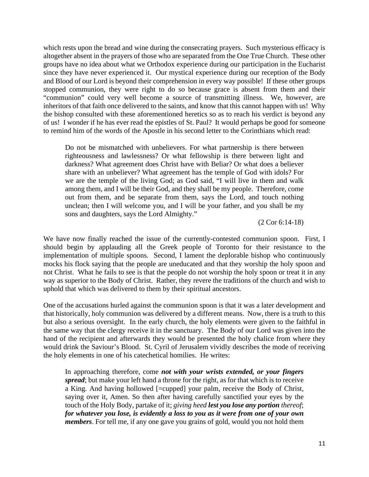which rests upon the bread and wine during the consecrating prayers. Such mysterious efficacy is altogether absent in the prayers of those who are separated from the One True Church. These other groups have no idea about what we Orthodox experience during our participation in the Eucharist since they have never experienced it. Our mystical experience during our reception of the Body and Blood of our Lord is beyond their comprehension in every way possible! If these other groups stopped communion, they were right to do so because grace is absent from them and their "communion" could very well become a source of transmitting illness. We, however, are inheritors of that faith once delivered to the saints, and know that this cannot happen with us! Why the bishop consulted with these aforementioned heretics so as to reach his verdict is beyond any of us! I wonder if he has ever read the epistles of St. Paul? It would perhaps be good for someone to remind him of the words of the Apostle in his second letter to the Corinthians which read:

Do not be mismatched with unbelievers. For what partnership is there between righteousness and lawlessness? Or what fellowship is there between light and darkness? What agreement does Christ have with Beliar? Or what does a believer share with an unbeliever? What agreement has the temple of God with idols? For we are the temple of the living God; as God said, "I will live in them and walk among them, and I will be their God, and they shall be my people. Therefore, come out from them, and be separate from them, says the Lord, and touch nothing unclean; then I will welcome you, and I will be your father, and you shall be my sons and daughters, says the Lord Almighty."

(2 Cor 6:14-18)

We have now finally reached the issue of the currently-contested communion spoon. First, I should begin by applauding all the Greek people of Toronto for their resistance to the implementation of multiple spoons. Second, I lament the deplorable bishop who continuously mocks his flock saying that the people are uneducated and that they worship the holy spoon and not Christ. What he fails to see is that the people do not worship the holy spoon or treat it in any way as superior to the Body of Christ. Rather, they revere the traditions of the church and wish to uphold that which was delivered to them by their spiritual ancestors.

One of the accusations hurled against the communion spoon is that it was a later development and that historically, holy communion was delivered by a different means. Now, there is a truth to this but also a serious oversight. In the early church, the holy elements were given to the faithful in the same way that the clergy receive it in the sanctuary. The Body of our Lord was given into the hand of the recipient and afterwards they would be presented the holy chalice from where they would drink the Saviour's Blood. St. Cyril of Jerusalem vividly describes the mode of receiving the holy elements in one of his catechetical homilies. He writes:

In approaching therefore, come *not with your wrists extended, or your fingers spread*; but make your left hand a throne for the right, as for that which is to receive a King. And having hollowed [=cupped] your palm, receive the Body of Christ, saying over it, Amen. So then after having carefully sanctified your eyes by the touch of the Holy Body, partake of it; *giving heed lest you lose any portion thereof*; *for whatever you lose, is evidently a loss to you as it were from one of your own members*. For tell me, if any one gave you grains of gold, would you not hold them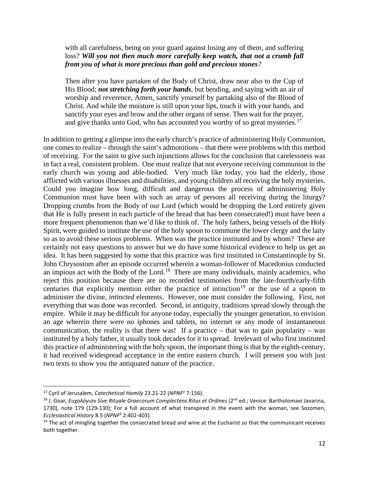## with all carefulness, being on your guard against losing any of them, and suffering loss? *Will you not then much more carefully keep watch, that not a crumb fall from you of what is more precious than gold and precious stones?*

Then after you have partaken of the Body of Christ, draw near also to the Cup of His Blood; *not stretching forth your hands*, but bending, and saying with an air of worship and reverence, Amen, sanctify yourself by partaking also of the Blood of Christ. And while the moisture is still upon your lips, touch it with your hands, and sanctify your eyes and brow and the other organs of sense. Then wait for the prayer, and give thanks unto God, who has accounted you worthy of so great mysteries.<sup>[17](#page-11-0)</sup>

In addition to getting a glimpse into the early church's practice of administering Holy Communion, one comes to realize – through the saint's admonitions – that there were problems with this method of receiving. For the saint to give such injunctions allows for the conclusion that carelessness was in fact a real, consistent problem. One must realize that not everyone receiving communion in the early church was young and able-bodied. Very much like today, you had the elderly, those afflicted with various illnesses and disabilities, and young children all receiving the holy mysteries. Could you imagine how long, difficult and dangerous the process of administering Holy Communion must have been with such an array of persons all receiving during the liturgy? Dropping crumbs from the Body of our Lord (which would be dropping the Lord entirely given that He is fully present in each particle of the bread that has been consecrated!) must have been a more frequent phenomenon than we'd like to think of. The holy fathers, being vessels of the Holy Spirit, were guided to institute the use of the holy spoon to commune the lower clergy and the laity so as to avoid these serious problems. When was the practice instituted and by whom? These are certainly not easy questions to answer but we do have some historical evidence to help us get an idea. It has been suggested by some that this practice was first instituted in Constantinople by St. John Chrysostom after an episode occurred wherein a woman-follower of Macedonius conducted an impious act with the Body of the Lord.<sup>18</sup> There are many individuals, mainly academics, who reject this position because there are no recorded testimonies from the late-fourth/early-fifth centuries that explicitly mention either the practice of intinction<sup>[19](#page-11-2)</sup> or the use of a spoon to administer the divine, *intincted* elements. However, one must consider the following. First, not everything that was done was recorded. Second, in antiquity, traditions spread slowly through the empire. While it may be difficult for anyone today, especially the younger generation, to envision an age wherein there were no iphones and tablets, no internet or any mode of instantaneous communication, the reality is that there was! If a practice – that was to gain popularity – was instituted by a holy father, it usually took decades for it to spread. Irrelevant of who first instituted this practice of administering with the holy spoon, the important thing is that by the eighth-century, it had received widespread acceptance in the entire eastern church. I will present you with just two texts to show you the antiquated nature of the practice.

<span id="page-11-1"></span><span id="page-11-0"></span><sup>&</sup>lt;sup>17</sup> Cyril of Jerusalem, *Catechetical Homily* 23.21-22 (*NPNF<sup>2</sup> 7*:156).<br><sup>18</sup> J. Goar, *Ευχολόγιον Sive Rituale Graecorum Complectens Ritus et Ordines (2<sup>nd</sup> ed.; Venice: Bartholomaei Javarina,* 1730), note 179 (129-130); For a full account of what transpired in the event with the woman, see Sozomen, *Ecclesiastical History* 8.5 (*NPNF*<sup>2</sup> 2:402-403).<br><sup>19</sup> The act of mingling together the consecrated bread and wine at the Eucharist so that the communicant receives

<span id="page-11-2"></span>both together.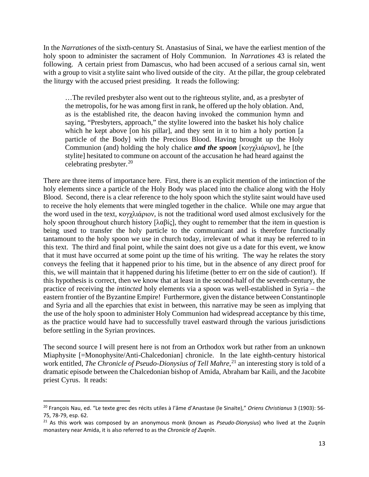In the *Narrationes* of the sixth-century St. Anastasius of Sinai, we have the earliest mention of the holy spoon to administer the sacrament of Holy Communion. In *Narrationes* 43 is related the following. A certain priest from Damascus, who had been accused of a serious carnal sin, went with a group to visit a stylite saint who lived outside of the city. At the pillar, the group celebrated the liturgy with the accused priest presiding. It reads the following:

…The reviled presbyter also went out to the righteous stylite, and, as a presbyter of the metropolis, for he was among first in rank, he offered up the holy oblation. And, as is the established rite, the deacon having invoked the communion hymn and saying, "Presbyters, approach," the stylite lowered into the basket his holy chalice which he kept above [on his pillar], and they sent in it to him a holy portion [a] particle of the Body] with the Precious Blood. Having brought up the Holy Communion (and) holding the holy chalice *and the spoon* [κογχλιάριον], he [the stylite] hesitated to commune on account of the accusation he had heard against the celebrating presbyter. [20](#page-12-0) 

There are three items of importance here. First, there is an explicit mention of the intinction of the holy elements since a particle of the Holy Body was placed into the chalice along with the Holy Blood. Second, there is a clear reference to the holy spoon which the stylite saint would have used to receive the holy elements that were mingled together in the chalice. While one may argue that the word used in the text, κογχλιάριον, is not the traditional word used almost exclusively for the holy spoon throughout church history [λαβίς], they ought to remember that the item in question is being used to transfer the holy particle to the communicant and is therefore functionally tantamount to the holy spoon we use in church today, irrelevant of what it may be referred to in this text. The third and final point, while the saint does not give us a date for this event, we know that it must have occurred at some point up the time of his writing. The way he relates the story conveys the feeling that it happened prior to his time, but in the absence of any direct proof for this, we will maintain that it happened during his lifetime (better to err on the side of caution!). If this hypothesis is correct, then we know that at least in the second-half of the seventh-century, the practice of receiving the *intincted* holy elements via a spoon was well-established in Syria – the eastern frontier of the Byzantine Empire! Furthermore, given the distance between Constantinople and Syria and all the eparchies that exist in between, this narrative may be seen as implying that the use of the holy spoon to administer Holy Communion had widespread acceptance by this time, as the practice would have had to successfully travel eastward through the various jurisdictions before settling in the Syrian provinces.

The second source I will present here is not from an Orthodox work but rather from an unknown Miaphysite [=Monophysite/Anti-Chalcedonian] chronicle. In the late eighth-century historical work entitled, *The Chronicle of Pseudo-Dionysius of Tell Mahre*, [21](#page-12-1) an interesting story is told of a dramatic episode between the Chalcedonian bishop of Amida, Abraham bar Kaili, and the Jacobite priest Cyrus. It reads:

<span id="page-12-0"></span><sup>20</sup> François Nau, ed. "Le texte grec des récits utiles à l'âme d'Anastase (le Sinaïte)," *Oriens Christianus* 3 (1903): 56- 75, 78-79, esp. 62.<br><sup>21</sup> As this work was composed by an anonymous monk (known as *Pseudo-Dionysius*) who lived at the Zugnīn

<span id="page-12-1"></span>monastery near Amida, it is also referred to as the *Chronicle of Zuqnīn*.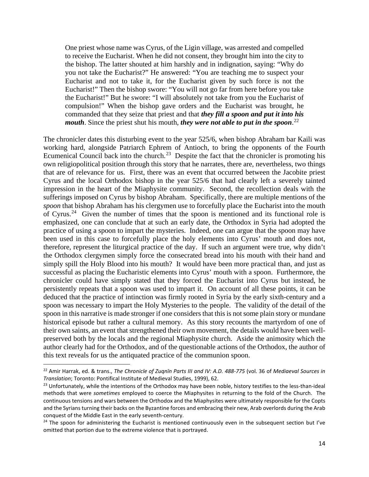One priest whose name was Cyrus, of the Ligin village, was arrested and compelled to receive the Eucharist. When he did not consent, they brought him into the city to the bishop. The latter shouted at him harshly and in indignation, saying: "Why do you not take the Eucharist?" He answered: "You are teaching me to suspect your Eucharist and not to take it, for the Eucharist given by such force is not the Eucharist!" Then the bishop swore: "You will not go far from here before you take the Eucharist!" But he swore: "I will absolutely not take from you the Eucharist of compulsion!" When the bishop gave orders and the Eucharist was brought, he commanded that they seize that priest and that *they fill a spoon and put it into his mouth*. Since the priest shut his mouth, *they were not able to put in the spoon*. [22](#page-13-0)

The chronicler dates this disturbing event to the year 525/6, when bishop Abraham bar Kaili was working hard, alongside Patriarch Ephrem of Antioch, to bring the opponents of the Fourth Ecumenical Council back into the church.<sup>23</sup> Despite the fact that the chronicler is promoting his own religiopolitical position through this story that he narrates, there are, nevertheless, two things that are of relevance for us. First, there was an event that occurred between the Jacobite priest Cyrus and the local Orthodox bishop in the year 525/6 that had clearly left a severely tainted impression in the heart of the Miaphysite community. Second, the recollection deals with the sufferings imposed on Cyrus by bishop Abraham. Specifically, there are multiple mentions of the *spoon* that bishop Abraham has his clergymen use to forcefully place the Eucharist into the mouth of Cyrus.<sup>24</sup> Given the number of times that the spoon is mentioned and its functional role is emphasized, one can conclude that at such an early date, the Orthodox in Syria had adopted the practice of using a spoon to impart the mysteries. Indeed, one can argue that the spoon may have been used in this case to forcefully place the holy elements into Cyrus' mouth and does not, therefore, represent the liturgical practice of the day. If such an argument were true, why didn't the Orthodox clergymen simply force the consecrated bread into his mouth with their hand and simply spill the Holy Blood into his mouth? It would have been more practical than, and just as successful as placing the Eucharistic elements into Cyrus' mouth with a spoon. Furthermore, the chronicler could have simply stated that they forced the Eucharist into Cyrus but instead, he persistently repeats that a spoon was used to impart it. On account of all these points, it can be deduced that the practice of intinction was firmly rooted in Syria by the early sixth-century and a spoon was necessary to impart the Holy Mysteries to the people. The validity of the detail of the spoon in this narrative is made stronger if one considers that this is not some plain story or mundane historical episode but rather a cultural memory. As this story recounts the martyrdom of one of their own saints, an event that strengthened their own movement, the details would have been wellpreserved both by the locals and the regional Miaphysite church. Aside the animosity which the author clearly had for the Orthodox, and of the questionable actions of the Orthodox, the author of this text reveals for us the antiquated practice of the communion spoon.

<span id="page-13-0"></span><sup>22</sup> Amir Harrak, ed. & trans., *The Chronicle of Zuqnīn Parts III and IV: A.D. 488-775* (vol. 36 of *Mediaeval Sources in Translation*; Toronto: Pontifical Institute of Medieval Studies, 1999), 62.

<span id="page-13-1"></span><sup>&</sup>lt;sup>23</sup> Unfortunately, while the intentions of the Orthodox may have been noble, history testifies to the less-than-ideal methods that were *sometimes* employed to coerce the Miaphysites in returning to the fold of the Church. The continuous tensions and wars between the Orthodox and the Miaphysites were ultimately responsible for the Copts and the Syrians turning their backs on the Byzantine forces and embracing their new, Arab overlords during the Arab conquest of the Middle East in the early seventh-century.<br><sup>24</sup> The spoon for administering the Eucharist is mentioned continuously even in the subsequent section but I've

<span id="page-13-2"></span>omitted that portion due to the extreme violence that is portrayed.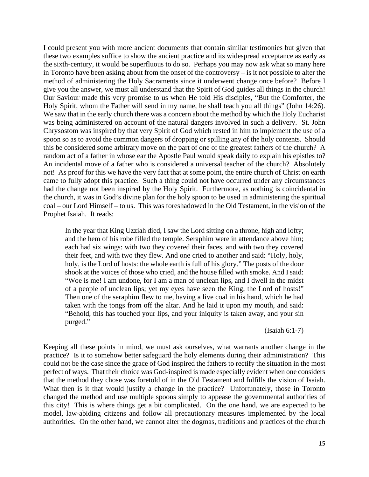I could present you with more ancient documents that contain similar testimonies but given that these two examples suffice to show the ancient practice and its widespread acceptance as early as the sixth-century, it would be superfluous to do so. Perhaps you may now ask what so many here in Toronto have been asking about from the onset of the controversy – is it not possible to alter the method of administering the Holy Sacraments since it underwent change once before? Before I give you the answer, we must all understand that the Spirit of God guides all things in the church! Our Saviour made this very promise to us when He told His disciples, "But the Comforter, the Holy Spirit, whom the Father will send in my name, he shall teach you all things" (John 14:26). We saw that in the early church there was a concern about the method by which the Holy Eucharist was being administered on account of the natural dangers involved in such a delivery. St. John Chrysostom was inspired by that very Spirit of God which rested in him to implement the use of a spoon so as to avoid the common dangers of dropping or spilling any of the holy contents. Should this be considered some arbitrary move on the part of one of the greatest fathers of the church? A random act of a father in whose ear the Apostle Paul would speak daily to explain his epistles to? An incidental move of a father who is considered a universal teacher of the church? Absolutely not! As proof for this we have the very fact that at some point, the entire church of Christ on earth came to fully adopt this practice. Such a thing could not have occurred under any circumstances had the change not been inspired by the Holy Spirit. Furthermore, as nothing is coincidental in the church, it was in God's divine plan for the holy spoon to be used in administering the spiritual coal – our Lord Himself – to us. This was foreshadowed in the Old Testament, in the vision of the Prophet Isaiah. It reads:

In the year that King Uzziah died, I saw the Lord sitting on a throne, high and lofty; and the hem of his robe filled the temple. Seraphim were in attendance above him; each had six wings: with two they covered their faces, and with two they covered their feet, and with two they flew. And one cried to another and said: "Holy, holy, holy, is the Lord of hosts: the whole earth is full of his glory." The posts of the door shook at the voices of those who cried, and the house filled with smoke. And I said: "Woe is me! I am undone, for I am a man of unclean lips, and I dwell in the midst of a people of unclean lips; yet my eyes have seen the King, the Lord of hosts!" Then one of the seraphim flew to me, having a live coal in his hand, which he had taken with the tongs from off the altar. And he laid it upon my mouth, and said: "Behold, this has touched your lips, and your iniquity is taken away, and your sin purged."

(Isaiah 6:1-7)

Keeping all these points in mind, we must ask ourselves, what warrants another change in the practice? Is it to somehow better safeguard the holy elements during their administration? This could not be the case since the grace of God inspired the fathers to rectify the situation in the most perfect of ways. That their choice was God-inspired is made especially evident when one considers that the method they chose was foretold of in the Old Testament and fulfills the vision of Isaiah. What then is it that would justify a change in the practice? Unfortunately, those in Toronto changed the method and use multiple spoons simply to appease the governmental authorities of this city! This is where things get a bit complicated. On the one hand, we are expected to be model, law-abiding citizens and follow all precautionary measures implemented by the local authorities. On the other hand, we cannot alter the dogmas, traditions and practices of the church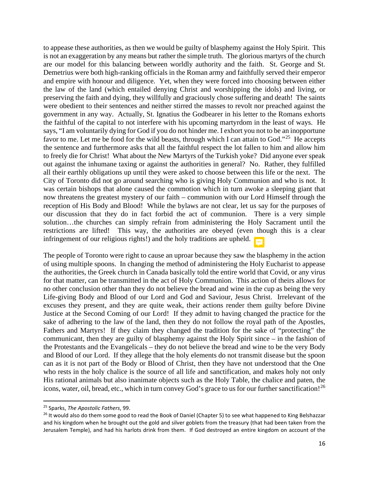to appease these authorities, as then we would be guilty of blasphemy against the Holy Spirit. This is not an exaggeration by any means but rather the simple truth. The glorious martyrs of the church are our model for this balancing between worldly authority and the faith. St. George and St. Demetrius were both high-ranking officials in the Roman army and faithfully served their emperor and empire with honour and diligence. Yet, when they were forced into choosing between either the law of the land (which entailed denying Christ and worshipping the idols) and living, or preserving the faith and dying, they willfully and graciously chose suffering and death! The saints were obedient to their sentences and neither stirred the masses to revolt nor preached against the government in any way. Actually, St. Ignatius the Godbearer in his letter to the Romans exhorts the faithful of the capital to not interfere with his upcoming martyrdom in the least of ways. He says, "I am voluntarily dying for God if you do not hinder me. I exhort you not to be an inopportune favor to me. Let me be food for the wild beasts, through which I can attain to God."<sup>[25](#page-15-0)</sup> He accepts the sentence and furthermore asks that all the faithful respect the lot fallen to him and allow him to freely die for Christ! What about the New Martyrs of the Turkish yoke? Did anyone ever speak out against the inhumane taxing or against the authorities in general? No. Rather, they fulfilled all their earthly obligations up until they were asked to choose between this life or the next. The City of Toronto did not go around searching who is giving Holy Communion and who is not. It was certain bishops that alone caused the commotion which in turn awoke a sleeping giant that now threatens the greatest mystery of our faith – communion with our Lord Himself through the reception of His Body and Blood! While the bylaws are not clear, let us say for the purposes of our discussion that they do in fact forbid the act of communion. There is a very simple solution…the churches can simply refrain from administering the Holy Sacrament until the restrictions are lifted! This way, the authorities are obeyed (even though this is a clear infringement of our religious rights!) and the holy traditions are upheld. E

The people of Toronto were right to cause an uproar because they saw the blasphemy in the action of using multiple spoons. In changing the method of administering the Holy Eucharist to appease the authorities, the Greek church in Canada basically told the entire world that Covid, or any virus for that matter, can be transmitted in the act of Holy Communion. This action of theirs allows for no other conclusion other than they do not believe the bread and wine in the cup as being the very Life-giving Body and Blood of our Lord and God and Saviour, Jesus Christ. Irrelevant of the excuses they present, and they are quite weak, their actions render them guilty before Divine Justice at the Second Coming of our Lord! If they admit to having changed the practice for the sake of adhering to the law of the land, then they do not follow the royal path of the Apostles, Fathers and Martyrs! If they claim they changed the tradition for the sake of "protecting" the communicant, then they are guilty of blasphemy against the Holy Spirit since – in the fashion of the Protestants and the Evangelicals – they do not believe the bread and wine to be the very Body and Blood of our Lord. If they allege that the holy elements do not transmit disease but the spoon can as it is not part of the Body or Blood of Christ, then they have not understood that the One who rests in the holy chalice is the source of all life and sanctification, and makes holy not only His rational animals but also inanimate objects such as the Holy Table, the chalice and paten, the icons, water, oil, bread, etc., which in turn convey God's grace to us for our further sanctification!<sup>[26](#page-15-1)</sup>

<span id="page-15-0"></span><sup>25</sup> Sparks, *The Apostolic Fathers*, 99.

<span id="page-15-1"></span> $^{26}$  It would also do them some good to read the Book of Daniel (Chapter 5) to see what happened to King Belshazzar and his kingdom when he brought out the gold and silver goblets from the treasury (that had been taken from the Jerusalem Temple), and had his harlots drink from them. If God destroyed an entire kingdom on account of the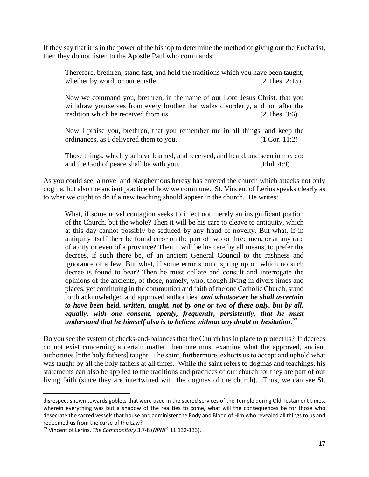If they say that it is in the power of the bishop to determine the method of giving out the Eucharist, then they do not listen to the Apostle Paul who commands:

Therefore, brethren, stand fast, and hold the traditions which you have been taught, whether by word, or our epistle. (2 Thes. 2:15)

Now we command you, brethren, in the name of our Lord Jesus Christ, that you withdraw yourselves from every brother that walks disorderly, and not after the tradition which he received from us. (2 Thes. 3:6)

Now I praise you, brethren, that you remember me in all things, and keep the ordinances, as I delivered them to you. (1 Cor. 11:2)

Those things, which you have learned, and received, and heard, and seen in me, do: and the God of peace shall be with you. (Phil. 4:9)

As you could see, a novel and blasphemous heresy has entered the church which attacks not only dogma, but also the ancient practice of how we commune. St. Vincent of Lerins speaks clearly as to what we ought to do if a new teaching should appear in the church. He writes:

What, if some novel contagion seeks to infect not merely an insignificant portion of the Church, but the whole? Then it will be his care to cleave to antiquity, which at this day cannot possibly be seduced by any fraud of novelty. But what, if in antiquity itself there be found error on the part of two or three men, or at any rate of a city or even of a province? Then it will be his care by all means, to prefer the decrees, if such there be, of an ancient General Council to the rashness and ignorance of a few. But what, if some error should spring up on which no such decree is found to bear? Then he must collate and consult and interrogate the opinions of the ancients, of those, namely, who, though living in divers times and places, yet continuing in the communion and faith of the one Catholic Church, stand forth acknowledged and approved authorities: *and whatsoever he shall ascertain to have been held, written, taught, not by one or two of these only, but by all, equally, with one consent, openly, frequently, persistently, that he must understand that he himself also is to believe without any doubt or hesitation*. [27](#page-16-0)

Do you see the system of checks-and-balances that the Church has in place to protect us? If decrees do not exist concerning a certain matter, then one must examine what the approved, ancient authorities [=the holy fathers] taught. The saint, furthermore, exhorts us to accept and uphold what was taught by all the holy fathers at all times. While the saint refers to dogmas and teachings, his statements can also be applied to the traditions and practices of our church for they are part of our living faith (since they are intertwined with the dogmas of the church). Thus, we can see St.

disrespect shown towards goblets that were used in the sacred services of the Temple during Old Testament times, wherein everything was but a shadow of the realities to come, what will the consequences be for those who desecrate the sacred vessels that house and administer the Body and Blood of Him who revealed all things to us and redeemed us from the curse of the Law? 27 Vincent of Lerins, *The Commonitory* 3.7-8 (*NPNF*<sup>2</sup> 11:132-133).

<span id="page-16-0"></span>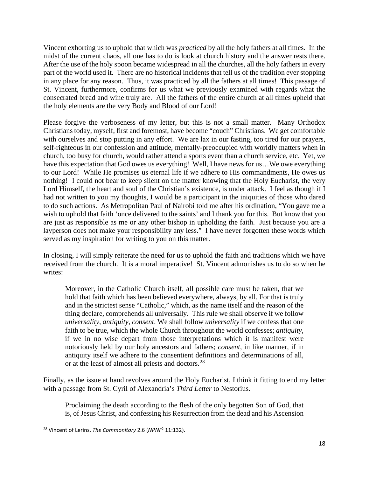Vincent exhorting us to uphold that which was *practiced* by all the holy fathers at all times. In the midst of the current chaos, all one has to do is look at church history and the answer rests there. After the use of the holy spoon became widespread in all the churches, all the holy fathers in every part of the world used it. There are no historical incidents that tell us of the tradition ever stopping in any place for any reason. Thus, it was practiced by all the fathers at all times! This passage of St. Vincent, furthermore, confirms for us what we previously examined with regards what the consecrated bread and wine truly are. All the fathers of the entire church at all times upheld that the holy elements are the very Body and Blood of our Lord!

Please forgive the verboseness of my letter, but this is not a small matter. Many Orthodox Christians today, myself, first and foremost, have become "couch" Christians. We get comfortable with ourselves and stop putting in any effort. We are lax in our fasting, too tired for our prayers, self-righteous in our confession and attitude, mentally-preoccupied with worldly matters when in church, too busy for church, would rather attend a sports event than a church service, etc. Yet, we have this expectation that God owes us everything! Well, I have news for us...We owe everything to our Lord! While He promises us eternal life if we adhere to His commandments, He owes us nothing! I could not bear to keep silent on the matter knowing that the Holy Eucharist, the very Lord Himself, the heart and soul of the Christian's existence, is under attack. I feel as though if I had not written to you my thoughts, I would be a participant in the iniquities of those who dared to do such actions. As Metropolitan Paul of Nairobi told me after his ordination, "You gave me a wish to uphold that faith 'once delivered to the saints' and I thank you for this. But know that you are just as responsible as me or any other bishop in upholding the faith. Just because you are a layperson does not make your responsibility any less." I have never forgotten these words which served as my inspiration for writing to you on this matter.

In closing, I will simply reiterate the need for us to uphold the faith and traditions which we have received from the church. It is a moral imperative! St. Vincent admonishes us to do so when he writes:

Moreover, in the Catholic Church itself, all possible care must be taken, that we hold that faith which has been believed everywhere, always, by all. For that is truly and in the strictest sense "Catholic," which, as the name itself and the reason of the thing declare, comprehends all universally. This rule we shall observe if we follow *universality, antiquity, consent*. We shall follow *universality* if we confess that one faith to be true, which the whole Church throughout the world confesses; *antiquity*, if we in no wise depart from those interpretations which it is manifest were notoriously held by our holy ancestors and fathers; *consent*, in like manner, if in antiquity itself we adhere to the consentient definitions and determinations of all, or at the least of almost all priests and doctors.<sup>28</sup>

Finally, as the issue at hand revolves around the Holy Eucharist, I think it fitting to end my letter with a passage from St. Cyril of Alexandria's *Third Letter* to Nestorius.

Proclaiming the death according to the flesh of the only begotten Son of God, that is, of Jesus Christ, and confessing his Resurrection from the dead and his Ascension

<span id="page-17-0"></span><sup>28</sup> Vincent of Lerins, *The Commonitory* 2.6 (*NPNF*<sup>2</sup> 11:132).